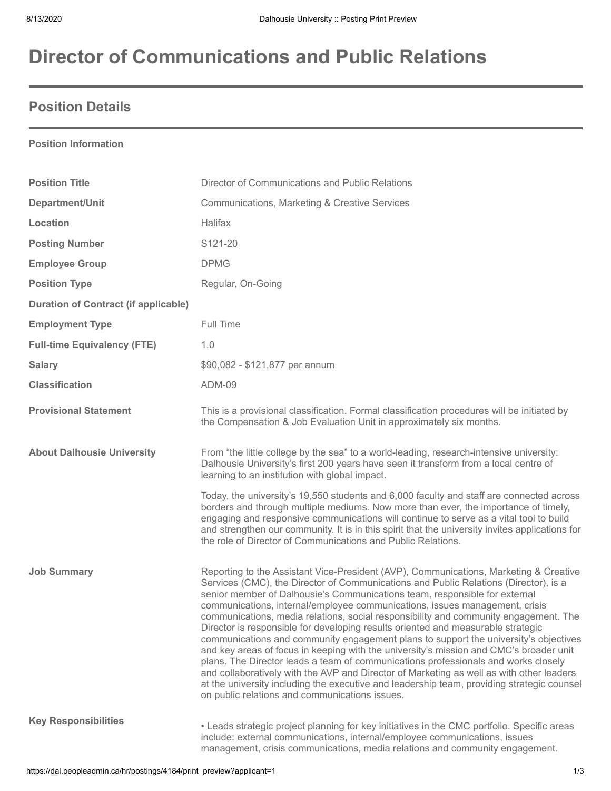# **Director of Communications and Public Relations**

## **Position Details**

#### **Position Information**

| <b>Position Title</b>                       | Director of Communications and Public Relations                                                                                                                                                                                                                                                                                                                                                                                                                                                                                                                                                                                                                                                                                                                                                                                                                                                                                                                                                                                            |  |
|---------------------------------------------|--------------------------------------------------------------------------------------------------------------------------------------------------------------------------------------------------------------------------------------------------------------------------------------------------------------------------------------------------------------------------------------------------------------------------------------------------------------------------------------------------------------------------------------------------------------------------------------------------------------------------------------------------------------------------------------------------------------------------------------------------------------------------------------------------------------------------------------------------------------------------------------------------------------------------------------------------------------------------------------------------------------------------------------------|--|
| Department/Unit                             | Communications, Marketing & Creative Services                                                                                                                                                                                                                                                                                                                                                                                                                                                                                                                                                                                                                                                                                                                                                                                                                                                                                                                                                                                              |  |
| Location                                    | Halifax                                                                                                                                                                                                                                                                                                                                                                                                                                                                                                                                                                                                                                                                                                                                                                                                                                                                                                                                                                                                                                    |  |
| <b>Posting Number</b>                       | S121-20                                                                                                                                                                                                                                                                                                                                                                                                                                                                                                                                                                                                                                                                                                                                                                                                                                                                                                                                                                                                                                    |  |
| <b>Employee Group</b>                       | <b>DPMG</b>                                                                                                                                                                                                                                                                                                                                                                                                                                                                                                                                                                                                                                                                                                                                                                                                                                                                                                                                                                                                                                |  |
| <b>Position Type</b>                        | Regular, On-Going                                                                                                                                                                                                                                                                                                                                                                                                                                                                                                                                                                                                                                                                                                                                                                                                                                                                                                                                                                                                                          |  |
| <b>Duration of Contract (if applicable)</b> |                                                                                                                                                                                                                                                                                                                                                                                                                                                                                                                                                                                                                                                                                                                                                                                                                                                                                                                                                                                                                                            |  |
| <b>Employment Type</b>                      | Full Time                                                                                                                                                                                                                                                                                                                                                                                                                                                                                                                                                                                                                                                                                                                                                                                                                                                                                                                                                                                                                                  |  |
| <b>Full-time Equivalency (FTE)</b>          | 1.0                                                                                                                                                                                                                                                                                                                                                                                                                                                                                                                                                                                                                                                                                                                                                                                                                                                                                                                                                                                                                                        |  |
| <b>Salary</b>                               | \$90,082 - \$121,877 per annum                                                                                                                                                                                                                                                                                                                                                                                                                                                                                                                                                                                                                                                                                                                                                                                                                                                                                                                                                                                                             |  |
| <b>Classification</b>                       | <b>ADM-09</b>                                                                                                                                                                                                                                                                                                                                                                                                                                                                                                                                                                                                                                                                                                                                                                                                                                                                                                                                                                                                                              |  |
| <b>Provisional Statement</b>                | This is a provisional classification. Formal classification procedures will be initiated by<br>the Compensation & Job Evaluation Unit in approximately six months.                                                                                                                                                                                                                                                                                                                                                                                                                                                                                                                                                                                                                                                                                                                                                                                                                                                                         |  |
| <b>About Dalhousie University</b>           | From "the little college by the sea" to a world-leading, research-intensive university:<br>Dalhousie University's first 200 years have seen it transform from a local centre of<br>learning to an institution with global impact.                                                                                                                                                                                                                                                                                                                                                                                                                                                                                                                                                                                                                                                                                                                                                                                                          |  |
|                                             | Today, the university's 19,550 students and 6,000 faculty and staff are connected across<br>borders and through multiple mediums. Now more than ever, the importance of timely,<br>engaging and responsive communications will continue to serve as a vital tool to build<br>and strengthen our community. It is in this spirit that the university invites applications for<br>the role of Director of Communications and Public Relations.                                                                                                                                                                                                                                                                                                                                                                                                                                                                                                                                                                                               |  |
| <b>Job Summary</b>                          | Reporting to the Assistant Vice-President (AVP), Communications, Marketing & Creative<br>Services (CMC), the Director of Communications and Public Relations (Director), is a<br>senior member of Dalhousie's Communications team, responsible for external<br>communications, internal/employee communications, issues management, crisis<br>communications, media relations, social responsibility and community engagement. The<br>Director is responsible for developing results oriented and measurable strategic<br>communications and community engagement plans to support the university's objectives<br>and key areas of focus in keeping with the university's mission and CMC's broader unit<br>plans. The Director leads a team of communications professionals and works closely<br>and collaboratively with the AVP and Director of Marketing as well as with other leaders<br>at the university including the executive and leadership team, providing strategic counsel<br>on public relations and communications issues. |  |
| <b>Key Responsibilities</b>                 | • Leads strategic project planning for key initiatives in the CMC portfolio. Specific areas<br>include: external communications, internal/employee communications, issues<br>management, crisis communications, media relations and community engagement.                                                                                                                                                                                                                                                                                                                                                                                                                                                                                                                                                                                                                                                                                                                                                                                  |  |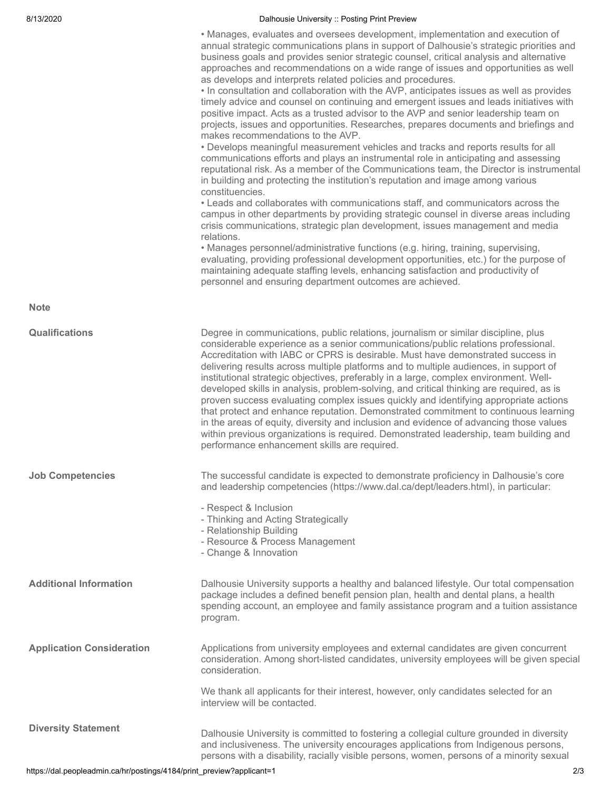#### 8/13/2020 **Dalhousie University :: Posting Print Preview**

|                                  | • Manages, evaluates and oversees development, implementation and execution of<br>annual strategic communications plans in support of Dalhousie's strategic priorities and<br>business goals and provides senior strategic counsel, critical analysis and alternative<br>approaches and recommendations on a wide range of issues and opportunities as well<br>as develops and interprets related policies and procedures.<br>. In consultation and collaboration with the AVP, anticipates issues as well as provides<br>timely advice and counsel on continuing and emergent issues and leads initiatives with<br>positive impact. Acts as a trusted advisor to the AVP and senior leadership team on<br>projects, issues and opportunities. Researches, prepares documents and briefings and<br>makes recommendations to the AVP.<br>• Develops meaningful measurement vehicles and tracks and reports results for all<br>communications efforts and plays an instrumental role in anticipating and assessing<br>reputational risk. As a member of the Communications team, the Director is instrumental<br>in building and protecting the institution's reputation and image among various<br>constituencies.<br>• Leads and collaborates with communications staff, and communicators across the<br>campus in other departments by providing strategic counsel in diverse areas including<br>crisis communications, strategic plan development, issues management and media<br>relations.<br>• Manages personnel/administrative functions (e.g. hiring, training, supervising,<br>evaluating, providing professional development opportunities, etc.) for the purpose of<br>maintaining adequate staffing levels, enhancing satisfaction and productivity of<br>personnel and ensuring department outcomes are achieved. |
|----------------------------------|-------------------------------------------------------------------------------------------------------------------------------------------------------------------------------------------------------------------------------------------------------------------------------------------------------------------------------------------------------------------------------------------------------------------------------------------------------------------------------------------------------------------------------------------------------------------------------------------------------------------------------------------------------------------------------------------------------------------------------------------------------------------------------------------------------------------------------------------------------------------------------------------------------------------------------------------------------------------------------------------------------------------------------------------------------------------------------------------------------------------------------------------------------------------------------------------------------------------------------------------------------------------------------------------------------------------------------------------------------------------------------------------------------------------------------------------------------------------------------------------------------------------------------------------------------------------------------------------------------------------------------------------------------------------------------------------------------------------------------------------------------------------------------------------------------------------------------|
| <b>Note</b>                      |                                                                                                                                                                                                                                                                                                                                                                                                                                                                                                                                                                                                                                                                                                                                                                                                                                                                                                                                                                                                                                                                                                                                                                                                                                                                                                                                                                                                                                                                                                                                                                                                                                                                                                                                                                                                                               |
| <b>Qualifications</b>            | Degree in communications, public relations, journalism or similar discipline, plus<br>considerable experience as a senior communications/public relations professional.<br>Accreditation with IABC or CPRS is desirable. Must have demonstrated success in<br>delivering results across multiple platforms and to multiple audiences, in support of<br>institutional strategic objectives, preferably in a large, complex environment. Well-<br>developed skills in analysis, problem-solving, and critical thinking are required, as is<br>proven success evaluating complex issues quickly and identifying appropriate actions<br>that protect and enhance reputation. Demonstrated commitment to continuous learning<br>in the areas of equity, diversity and inclusion and evidence of advancing those values<br>within previous organizations is required. Demonstrated leadership, team building and<br>performance enhancement skills are required.                                                                                                                                                                                                                                                                                                                                                                                                                                                                                                                                                                                                                                                                                                                                                                                                                                                                    |
| <b>Job Competencies</b>          | The successful candidate is expected to demonstrate proficiency in Dalhousie's core<br>and leadership competencies (https://www.dal.ca/dept/leaders.html), in particular:<br>- Respect & Inclusion<br>- Thinking and Acting Strategically<br>- Relationship Building<br>- Resource & Process Management<br>- Change & Innovation                                                                                                                                                                                                                                                                                                                                                                                                                                                                                                                                                                                                                                                                                                                                                                                                                                                                                                                                                                                                                                                                                                                                                                                                                                                                                                                                                                                                                                                                                              |
| <b>Additional Information</b>    | Dalhousie University supports a healthy and balanced lifestyle. Our total compensation<br>package includes a defined benefit pension plan, health and dental plans, a health<br>spending account, an employee and family assistance program and a tuition assistance<br>program.                                                                                                                                                                                                                                                                                                                                                                                                                                                                                                                                                                                                                                                                                                                                                                                                                                                                                                                                                                                                                                                                                                                                                                                                                                                                                                                                                                                                                                                                                                                                              |
| <b>Application Consideration</b> | Applications from university employees and external candidates are given concurrent<br>consideration. Among short-listed candidates, university employees will be given special<br>consideration.                                                                                                                                                                                                                                                                                                                                                                                                                                                                                                                                                                                                                                                                                                                                                                                                                                                                                                                                                                                                                                                                                                                                                                                                                                                                                                                                                                                                                                                                                                                                                                                                                             |
|                                  | We thank all applicants for their interest, however, only candidates selected for an<br>interview will be contacted.                                                                                                                                                                                                                                                                                                                                                                                                                                                                                                                                                                                                                                                                                                                                                                                                                                                                                                                                                                                                                                                                                                                                                                                                                                                                                                                                                                                                                                                                                                                                                                                                                                                                                                          |
| <b>Diversity Statement</b>       | Dalhousie University is committed to fostering a collegial culture grounded in diversity<br>and inclusiveness. The university encourages applications from Indigenous persons,<br>persons with a disability, racially visible persons, women, persons of a minority sexual                                                                                                                                                                                                                                                                                                                                                                                                                                                                                                                                                                                                                                                                                                                                                                                                                                                                                                                                                                                                                                                                                                                                                                                                                                                                                                                                                                                                                                                                                                                                                    |